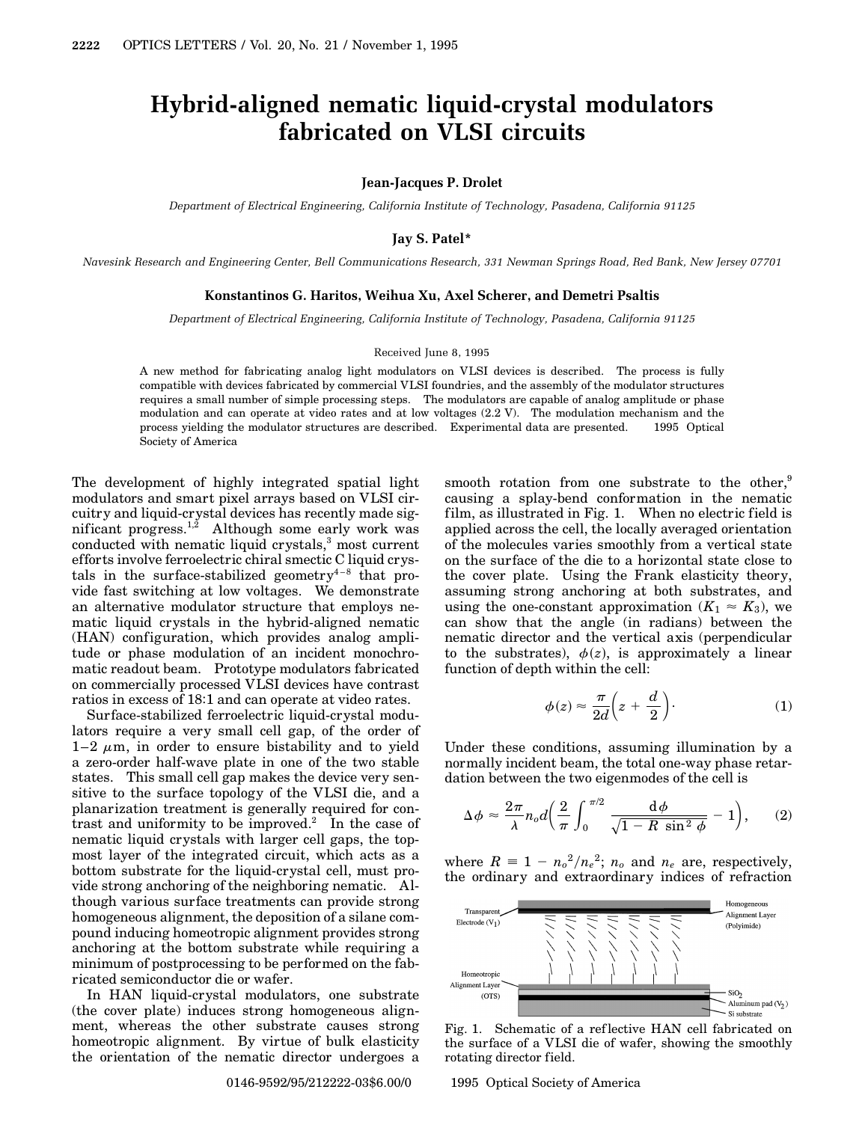# **Hybrid-aligned nematic liquid-crystal modulators fabricated on VLSI circuits**

#### **Jean-Jacques P. Drolet**

*Department of Electrical Engineering, California Institute of Technology, Pasadena, California 91125*

## **Jay S. Patel\***

*Navesink Research and Engineering Center, Bell Communications Research, 331 Newman Springs Road, Red Bank, New Jersey 07701*

### **Konstantinos G. Haritos, Weihua Xu, Axel Scherer, and Demetri Psaltis**

*Department of Electrical Engineering, California Institute of Technology, Pasadena, California 91125*

#### Received June 8, 1995

A new method for fabricating analog light modulators on VLSI devices is described. The process is fully compatible with devices fabricated by commercial VLSI foundries, and the assembly of the modulator structures requires a small number of simple processing steps. The modulators are capable of analog amplitude or phase modulation and can operate at video rates and at low voltages (2.2 V). The modulation mechanism and the process yielding the modulator structures are described. Experimental data are presented. 1995 Optical Society of America

The development of highly integrated spatial light modulators and smart pixel arrays based on VLSI circuitry and liquid-crystal devices has recently made significant progress.<sup>1,2</sup> Although some early work was conducted with nematic liquid crystals, $3$  most current efforts involve ferroelectric chiral smectic C liquid crystals in the surface-stabilized geometry<sup>4-8</sup> that provide fast switching at low voltages. We demonstrate an alternative modulator structure that employs nematic liquid crystals in the hybrid-aligned nematic (HAN) configuration, which provides analog amplitude or phase modulation of an incident monochromatic readout beam. Prototype modulators fabricated on commercially processed VLSI devices have contrast ratios in excess of 18:1 and can operate at video rates.

Surface-stabilized ferroelectric liquid-crystal modulators require a very small cell gap, of the order of  $1-2 \mu m$ , in order to ensure bistability and to yield a zero-order half-wave plate in one of the two stable states. This small cell gap makes the device very sensitive to the surface topology of the VLSI die, and a planarization treatment is generally required for contrast and uniformity to be improved.<sup>2</sup> In the case of nematic liquid crystals with larger cell gaps, the topmost layer of the integrated circuit, which acts as a bottom substrate for the liquid-crystal cell, must provide strong anchoring of the neighboring nematic. Although various surface treatments can provide strong homogeneous alignment, the deposition of a silane compound inducing homeotropic alignment provides strong anchoring at the bottom substrate while requiring a minimum of postprocessing to be performed on the fabricated semiconductor die or wafer.

In HAN liquid-crystal modulators, one substrate (the cover plate) induces strong homogeneous alignment, whereas the other substrate causes strong homeotropic alignment. By virtue of bulk elasticity the orientation of the nematic director undergoes a

smooth rotation from one substrate to the other, $9$ causing a splay-bend conformation in the nematic film, as illustrated in Fig. 1. When no electric field is applied across the cell, the locally averaged orientation of the molecules varies smoothly from a vertical state on the surface of the die to a horizontal state close to the cover plate. Using the Frank elasticity theory, assuming strong anchoring at both substrates, and using the one-constant approximation  $(K_1 \approx K_3)$ , we can show that the angle (in radians) between the nematic director and the vertical axis (perpendicular to the substrates),  $\phi(z)$ , is approximately a linear function of depth within the cell:

$$
\phi(z) \approx \frac{\pi}{2d} \left( z + \frac{d}{2} \right). \tag{1}
$$

Under these conditions, assuming illumination by a normally incident beam, the total one-way phase retardation between the two eigenmodes of the cell is

$$
\Delta \phi \approx \frac{2\pi}{\lambda} n_o d \left( \frac{2}{\pi} \int_0^{\pi/2} \frac{d\phi}{\sqrt{1 - R \sin^2 \phi}} - 1 \right), \qquad (2)
$$

where  $R = 1 - n_o^2/n_e^2$ ;  $n_o$  and  $n_e$  are, respectively, the ordinary and extraordinary indices of refraction



Fig. 1. Schematic of a ref lective HAN cell fabricated on the surface of a VLSI die of wafer, showing the smoothly rotating director field.

0146-9592/95/212222-03\$6.00/0 © 1995 Optical Society of America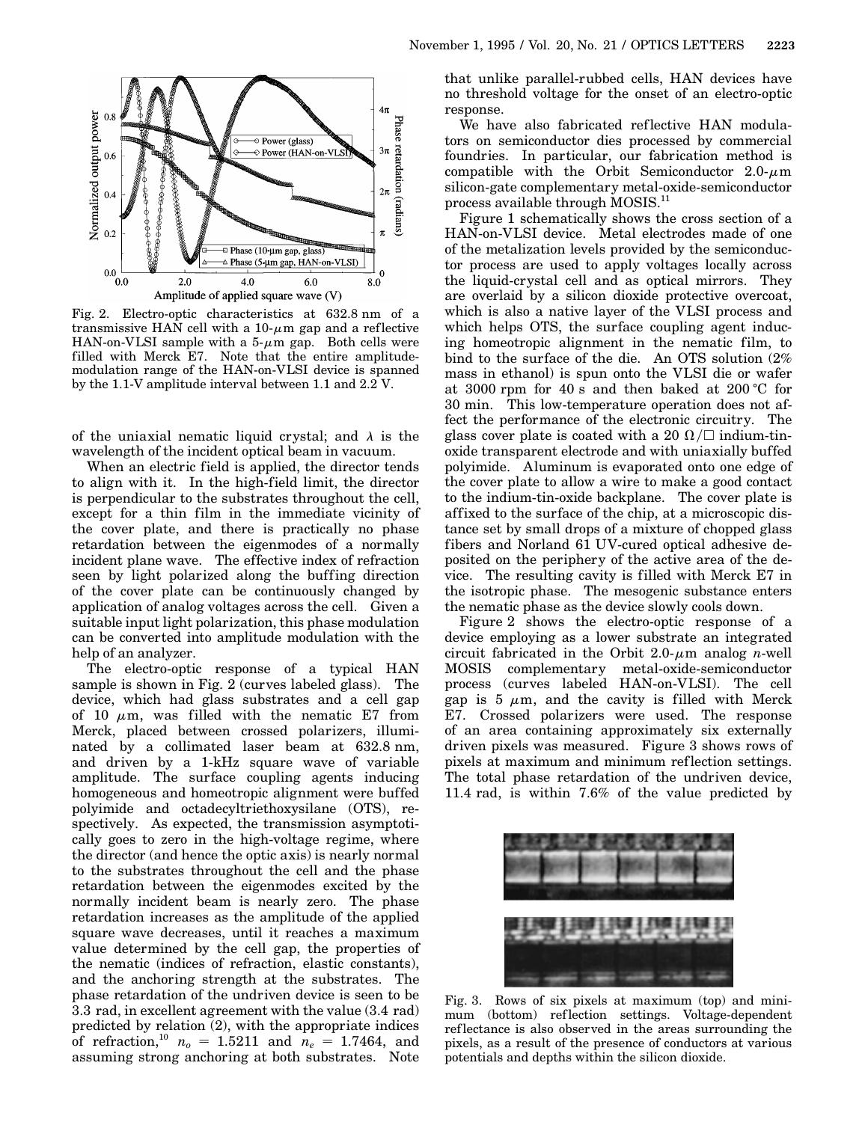

Fig. 2. Electro-optic characteristics at 632.8 nm of a transmissive HAN cell with a  $10-\mu m$  gap and a reflective HAN-on-VLSI sample with a  $5-\mu m$  gap. Both cells were filled with Merck E7. Note that the entire amplitudemodulation range of the HAN-on-VLSI device is spanned by the 1.1-V amplitude interval between 1.1 and 2.2 V.

of the uniaxial nematic liquid crystal; and  $\lambda$  is the wavelength of the incident optical beam in vacuum.

When an electric field is applied, the director tends to align with it. In the high-field limit, the director is perpendicular to the substrates throughout the cell, except for a thin film in the immediate vicinity of the cover plate, and there is practically no phase retardation between the eigenmodes of a normally incident plane wave. The effective index of refraction seen by light polarized along the buffing direction of the cover plate can be continuously changed by application of analog voltages across the cell. Given a suitable input light polarization, this phase modulation can be converted into amplitude modulation with the help of an analyzer.

The electro-optic response of a typical HAN sample is shown in Fig. 2 (curves labeled glass). The device, which had glass substrates and a cell gap of 10  $\mu$ m, was filled with the nematic E7 from Merck, placed between crossed polarizers, illuminated by a collimated laser beam at 632.8 nm, and driven by a 1-kHz square wave of variable amplitude. The surface coupling agents inducing homogeneous and homeotropic alignment were buffed polyimide and octadecyltriethoxysilane (OTS), respectively. As expected, the transmission asymptotically goes to zero in the high-voltage regime, where the director (and hence the optic axis) is nearly normal to the substrates throughout the cell and the phase retardation between the eigenmodes excited by the normally incident beam is nearly zero. The phase retardation increases as the amplitude of the applied square wave decreases, until it reaches a maximum value determined by the cell gap, the properties of the nematic (indices of refraction, elastic constants), and the anchoring strength at the substrates. The phase retardation of the undriven device is seen to be 3.3 rad, in excellent agreement with the value (3.4 rad) predicted by relation (2), with the appropriate indices of refraction,<sup>10</sup>  $n_o = 1.5211$  and  $n_e = 1.7464$ , and assuming strong anchoring at both substrates. Note

that unlike parallel-rubbed cells, HAN devices have no threshold voltage for the onset of an electro-optic response.

We have also fabricated reflective HAN modulators on semiconductor dies processed by commercial foundries. In particular, our fabrication method is compatible with the Orbit Semiconductor  $2.0-\mu m$ silicon-gate complementary metal-oxide-semiconductor process available through MOSIS.<sup>11</sup>

Figure 1 schematically shows the cross section of a HAN-on-VLSI device. Metal electrodes made of one of the metalization levels provided by the semiconductor process are used to apply voltages locally across the liquid-crystal cell and as optical mirrors. They are overlaid by a silicon dioxide protective overcoat, which is also a native layer of the VLSI process and which helps OTS, the surface coupling agent inducing homeotropic alignment in the nematic film, to bind to the surface of the die. An OTS solution (2% mass in ethanol) is spun onto the VLSI die or wafer at 3000 rpm for 40 s and then baked at  $200 \degree C$  for 30 min. This low-temperature operation does not affect the performance of the electronic circuitry. The glass cover plate is coated with a 20  $\Omega/\square$  indium-tinoxide transparent electrode and with uniaxially buffed polyimide. Aluminum is evaporated onto one edge of the cover plate to allow a wire to make a good contact to the indium-tin-oxide backplane. The cover plate is affixed to the surface of the chip, at a microscopic distance set by small drops of a mixture of chopped glass fibers and Norland 61 UV-cured optical adhesive deposited on the periphery of the active area of the device. The resulting cavity is filled with Merck E7 in the isotropic phase. The mesogenic substance enters the nematic phase as the device slowly cools down.

Figure 2 shows the electro-optic response of a device employing as a lower substrate an integrated circuit fabricated in the Orbit  $2.0 \mu$ m analog *n*-well MOSIS complementary metal-oxide-semiconductor process (curves labeled HAN-on-VLSI). The cell gap is 5  $\mu$ m, and the cavity is filled with Merck E7. Crossed polarizers were used. The response of an area containing approximately six externally driven pixels was measured. Figure 3 shows rows of pixels at maximum and minimum reflection settings. The total phase retardation of the undriven device, 11.4 rad, is within 7.6% of the value predicted by



Fig. 3. Rows of six pixels at maximum (top) and minimum (bottom) reflection settings. Voltage-dependent ref lectance is also observed in the areas surrounding the pixels, as a result of the presence of conductors at various potentials and depths within the silicon dioxide.